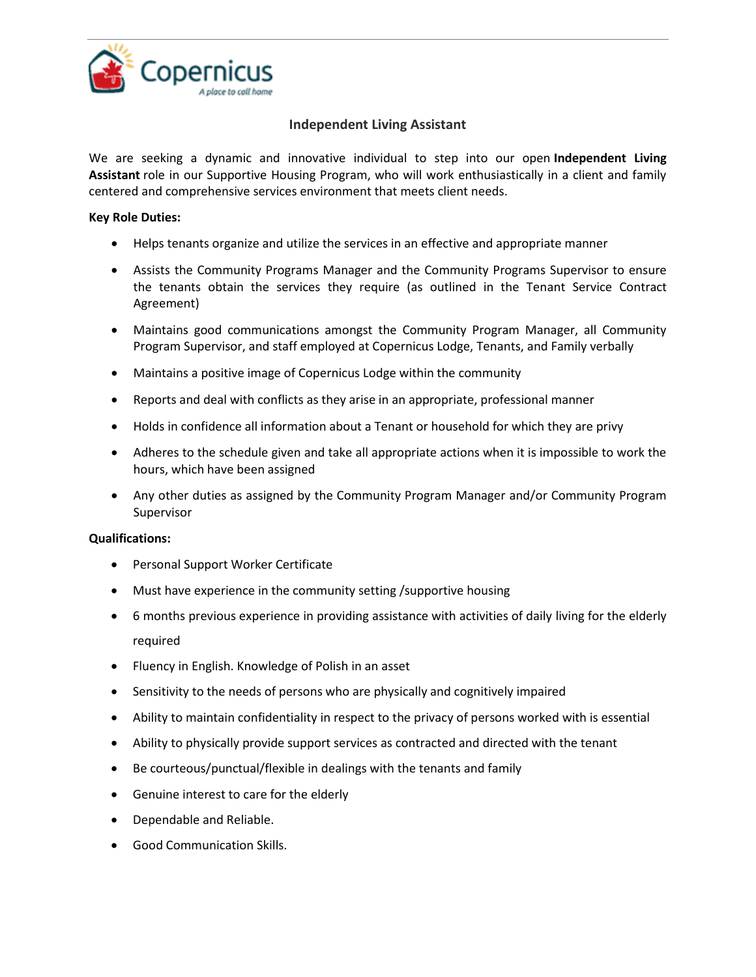

## **Independent Living Assistant**

We are seeking a dynamic and innovative individual to step into our open **Independent Living Assistant** role in our Supportive Housing Program, who will work enthusiastically in a client and family centered and comprehensive services environment that meets client needs.

## **Key Role Duties:**

- Helps tenants organize and utilize the services in an effective and appropriate manner
- Assists the Community Programs Manager and the Community Programs Supervisor to ensure the tenants obtain the services they require (as outlined in the Tenant Service Contract Agreement)
- Maintains good communications amongst the Community Program Manager, all Community Program Supervisor, and staff employed at Copernicus Lodge, Tenants, and Family verbally
- Maintains a positive image of Copernicus Lodge within the community
- Reports and deal with conflicts as they arise in an appropriate, professional manner
- Holds in confidence all information about a Tenant or household for which they are privy
- Adheres to the schedule given and take all appropriate actions when it is impossible to work the hours, which have been assigned
- Any other duties as assigned by the Community Program Manager and/or Community Program Supervisor

## **Qualifications:**

- Personal Support Worker Certificate
- Must have experience in the community setting /supportive housing
- 6 months previous experience in providing assistance with activities of daily living for the elderly required
- Fluency in English. Knowledge of Polish in an asset
- Sensitivity to the needs of persons who are physically and cognitively impaired
- Ability to maintain confidentiality in respect to the privacy of persons worked with is essential
- Ability to physically provide support services as contracted and directed with the tenant
- Be courteous/punctual/flexible in dealings with the tenants and family
- Genuine interest to care for the elderly
- Dependable and Reliable.
- Good Communication Skills.